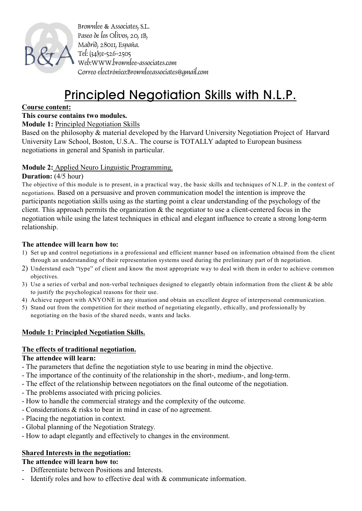

Brownlee & Associates, S.L. Paseo de los Olivos, 20, 1B, Madrid, 28011, España. Tel: (34)91-526-2505 Web:WWW.brownlee-associates.com Correo electrónico:Brownleeassociates@gmail.com

# Principled Negotiation Skills with N.L.P.

#### **Course content:**

# **This course contains two modules.**

#### **Module 1:** Principled Negotiation Skills

Based on the philosophy & material developed by the Harvard University Negotiation Project of Harvard University Law School, Boston, U.S.A.. The course is TOTALLY adapted to European business negotiations in general and Spanish in particular.

#### **Module 2:** Applied Neuro Linguistic Programming.

#### **Duration:** (4/5 hour)

The objective of this module is to present, in a practical way, the basic skills and techniques of N.L.P. in the context of negotiations. Based on a persuasive and proven communication model the intention is improve the participants negotiation skills using as the starting point a clear understanding of the psychology of the client. This approach permits the organization  $\&$  the negotiator to use a client-centered focus in the negotiation while using the latest techniques in ethical and elegant influence to create a strong long-term relationship.

#### **The attendee will learn how to:**

- 1) Set up and control negotiations in a professional and efficient manner based on information obtained from the client through an understanding of their representation systems used during the preliminary part of th negotiation.
- 2) Understand each "type" of client and know the most appropriate way to deal with them in order to achieve common objectives.
- 3) Use a series of verbal and non-verbal techniques designed to elegantly obtain information from the client  $\&$  be able to justify the psychological reasons for their use.
- 4) Achieve rapport with ANYONE in any situation and obtain an excellent degree of interpersonal communication.
- 5) Stand out from the competition for their method of negotiating elegantly, ethically, and professionally by negotiating on the basis of the shared needs, wants and lacks.

### **Module 1: Principled Negotiation Skills.**

### **The effects of traditional negotiation.**

#### **The attendee will learn:**

- The parameters that define the negotiation style to use bearing in mind the objective.
- The importance of the continuity of the relationship in the short-, medium-, and long-term.
- The effect of the relationship between negotiators on the final outcome of the negotiation.
- The problems associated with pricing policies.
- How to handle the commercial strategy and the complexity of the outcome.
- Considerations & risks to bear in mind in case of no agreement.
- Placing the negotiation in context.
- Global planning of the Negotiation Strategy.
- How to adapt elegantly and effectively to changes in the environment.

### **Shared Interests in the negotiation:**

#### **The attendee will learn how to:**

- Differentiate between Positions and Interests.
- Identify roles and how to effective deal with & communicate information.